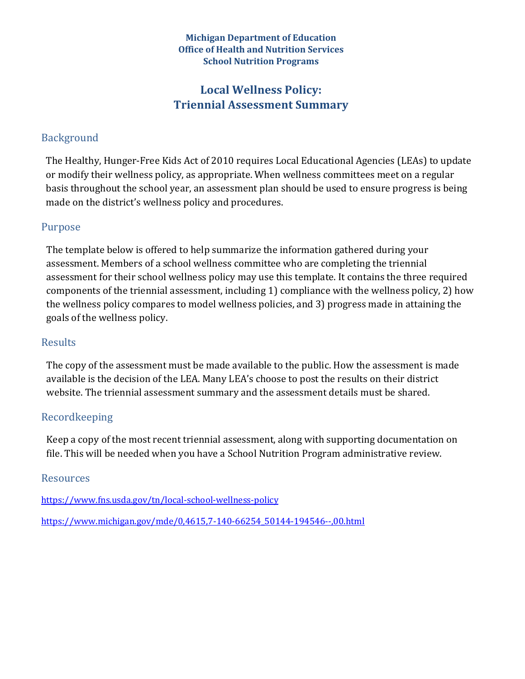#### **Michigan Department of Education Office of Health and Nutrition Services School Nutrition Programs**

### Local Wellness Policy: **Triennial Assessment Summary**

#### Background

The Healthy, Hunger-Free Kids Act of 2010 requires Local Educational Agencies (LEAs) to update or modify their wellness policy, as appropriate. When wellness committees meet on a regular basis throughout the school year, an assessment plan should be used to ensure progress is being made on the district's wellness policy and procedures.

#### Purpose

The template below is offered to help summarize the information gathered during your assessment. Members of a school wellness committee who are completing the triennial assessment for their school wellness policy may use this template. It contains the three required components of the triennial assessment, including 1) compliance with the wellness policy, 2) how the wellness policy compares to model wellness policies, and 3) progress made in attaining the goals of the wellness policy.

#### Results

The copy of the assessment must be made available to the public. How the assessment is made available is the decision of the LEA. Many LEA's choose to post the results on their district website. The triennial assessment summary and the assessment details must be shared.

#### Recordkeeping

Keep a copy of the most recent triennial assessment, along with supporting documentation on file. This will be needed when you have a School Nutrition Program administrative review.

#### Resources

https://www.fns.usda.gov/tn/local-school-wellness-policy

https://www.michigan.gov/mde/0,4615,7-140-66254\_50144-194546--,00.html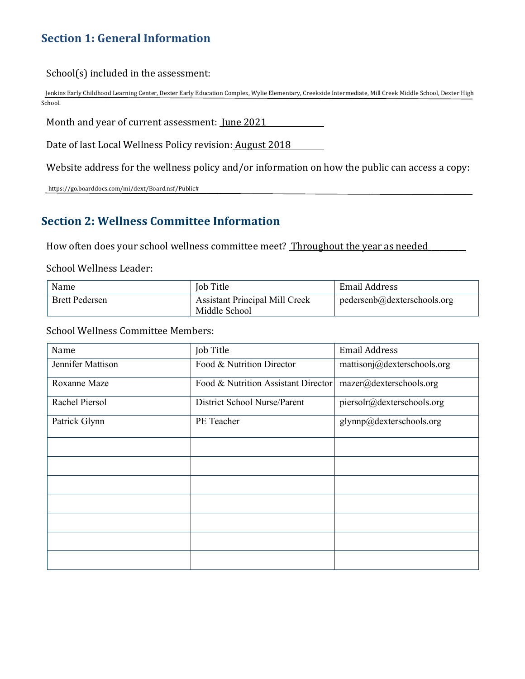### **Section 1: General Information**

 $School(s)$  included in the assessment:

Jenkins Early Childhood Learning Center, Dexter Early Education Complex, Wylie Elementary, Creekside Intermediate, Mill Creek Middle School, Dexter High School.

Month and year of current assessment: June 2021

Date of last Local Wellness Policy revision: August 2018

Website address for the wellness policy and/or information on how the public can access a copy:

 https://go.boarddocs.com/mi/dext/Board.nsf/Public#

### **Section 2: Wellness Committee Information**

How often does your school wellness committee meet? Throughout the year as needed

School Wellness Leader:

| Name                  | Job Title                                              | Email Address               |
|-----------------------|--------------------------------------------------------|-----------------------------|
| <b>Brett Pedersen</b> | <b>Assistant Principal Mill Creek</b><br>Middle School | pedersenb@dekterschools.org |

School Wellness Committee Members:

| Name              | Job Title                           | <b>Email Address</b>        |
|-------------------|-------------------------------------|-----------------------------|
| Jennifer Mattison | Food & Nutrition Director           | mattisonj@dexterschools.org |
| Roxanne Maze      | Food & Nutrition Assistant Director | mazer@dexterschools.org     |
| Rachel Piersol    | District School Nurse/Parent        | piersolr@dexterschools.org  |
| Patrick Glynn     | PE Teacher                          | glynnp@dexterschools.org    |
|                   |                                     |                             |
|                   |                                     |                             |
|                   |                                     |                             |
|                   |                                     |                             |
|                   |                                     |                             |
|                   |                                     |                             |
|                   |                                     |                             |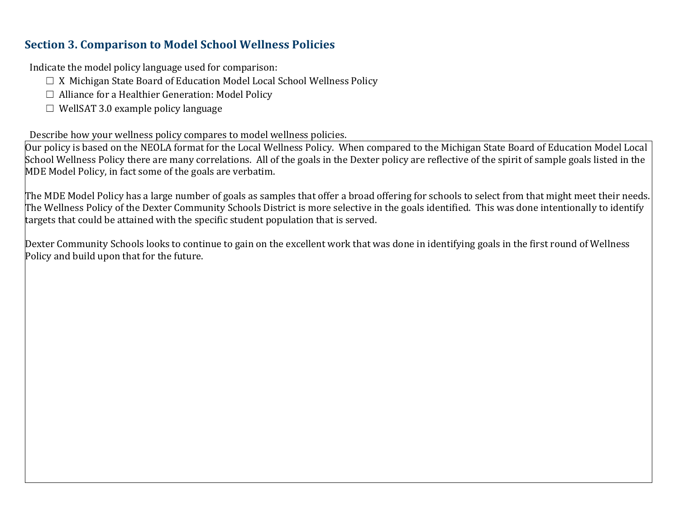### **Section 3. Comparison to Model School Wellness Policies**

Indicate the model policy language used for comparison:

- $\Box$  X Michigan State Board of Education Model Local School Wellness Policy
- $\Box$  Alliance for a Healthier Generation: Model Policy
- $\Box$  WellSAT 3.0 example policy language

Describe how your wellness policy compares to model wellness policies.

 $\vert$ Our policy is based on the NEOLA format for the Local Wellness Policy. When compared to the Michigan State Board of Education Model Local School Wellness Policy there are many correlations. All of the goals in the Dexter policy are reflective of the spirit of sample goals listed in the MDE Model Policy, in fact some of the goals are verbatim.

The MDE Model Policy has a large number of goals as samples that offer a broad offering for schools to select from that might meet their needs. The Wellness Policy of the Dexter Community Schools District is more selective in the goals identified. This was done intentionally to identify targets that could be attained with the specific student population that is served.

 $\Delta$  Dexter Community Schools looks to continue to gain on the excellent work that was done in identifying goals in the first round of Wellness Policy and build upon that for the future.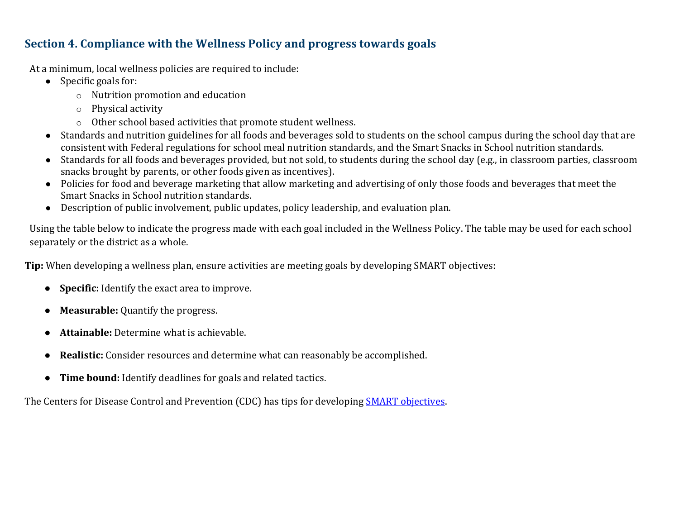### **Section 4. Compliance with the Wellness Policy and progress towards goals**

At a minimum, local wellness policies are required to include:

- $\bullet$  Specific goals for:
	- $\circ$  Nutrition promotion and education
	- $\circ$  Physical activity
	- $\circ$  Other school based activities that promote student wellness.
- Standards and nutrition guidelines for all foods and beverages sold to students on the school campus during the school day that are consistent with Federal regulations for school meal nutrition standards, and the Smart Snacks in School nutrition standards.
- Standards for all foods and beverages provided, but not sold, to students during the school day (e.g., in classroom parties, classroom snacks brought by parents, or other foods given as incentives).
- Policies for food and beverage marketing that allow marketing and advertising of only those foods and beverages that meet the Smart Snacks in School nutrition standards.
- Description of public involvement, public updates, policy leadership, and evaluation plan.

Using the table below to indicate the progress made with each goal included in the Wellness Policy. The table may be used for each school separately or the district as a whole.

**Tip:** When developing a wellness plan, ensure activities are meeting goals by developing SMART objectives:

- **Specific:** Identify the exact area to improve.
- Measurable: Quantify the progress.
- **Attainable:** Determine what is achievable.
- **Realistic:** Consider resources and determine what can reasonably be accomplished.
- **Time bound:** Identify deadlines for goals and related tactics.

The Centers for Disease Control and Prevention (CDC) has tips for developing **SMART** objectives.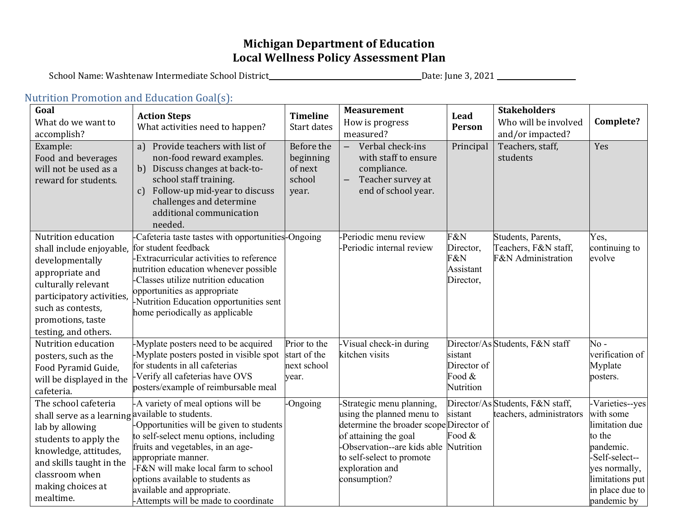## **Michigan Department of Education** Local Wellness Policy Assessment Plan

School Name: Washtenaw Intermediate School District\_\_\_\_\_\_\_\_\_\_\_\_\_\_\_\_\_\_\_\_\_\_\_\_\_\_\_\_\_\_\_\_\_\_Date: June 3, 2021 \_\_\_\_\_\_\_\_\_\_\_\_\_\_\_\_\_\_\_\_\_\_\_\_\_\_\_\_\_\_

# Nutrition Promotion and Education Goal(s):

| Goal<br>What do we want to<br>accomplish?<br>Example:<br>Food and beverages<br>will not be used as a                                                                                                                          | <b>Action Steps</b><br>What activities need to happen?<br>Provide teachers with list of<br>a)<br>non-food reward examples.<br>b) Discuss changes at back-to-                                                                                                                                                                          | <b>Timeline</b><br>Start dates<br>Before the<br>beginning<br>of next | <b>Measurement</b><br>How is progress<br>measured?<br>Verbal check-ins<br>$\overline{\phantom{m}}$<br>with staff to ensure<br>compliance.                                                                                 | Lead<br>Person<br>Principal                       | <b>Stakeholders</b><br>Who will be involved<br>and/or impacted?<br>Teachers, staff,<br>students | Complete?<br>Yes                                                                                                                                              |
|-------------------------------------------------------------------------------------------------------------------------------------------------------------------------------------------------------------------------------|---------------------------------------------------------------------------------------------------------------------------------------------------------------------------------------------------------------------------------------------------------------------------------------------------------------------------------------|----------------------------------------------------------------------|---------------------------------------------------------------------------------------------------------------------------------------------------------------------------------------------------------------------------|---------------------------------------------------|-------------------------------------------------------------------------------------------------|---------------------------------------------------------------------------------------------------------------------------------------------------------------|
| reward for students.                                                                                                                                                                                                          | school staff training.<br>Follow-up mid-year to discuss<br>$\mathbf{c}$<br>challenges and determine<br>additional communication<br>needed.                                                                                                                                                                                            | school<br>year.                                                      | Teacher survey at<br>end of school year.                                                                                                                                                                                  |                                                   |                                                                                                 |                                                                                                                                                               |
| Nutrition education<br>shall include enjoyable,<br>developmentally<br>appropriate and<br>culturally relevant<br>participatory activities,<br>such as contests,<br>promotions, taste<br>testing, and others.                   | -Cafeteria taste tastes with opportunities-Ongoing<br>for student feedback<br>-Extracurricular activities to reference<br>nutrition education whenever possible<br>Classes utilize nutrition education<br>opportunities as appropriate<br>-Nutrition Education opportunities sent<br>home periodically as applicable                  |                                                                      | -Periodic menu review<br>-Periodic internal review                                                                                                                                                                        | F&N<br>Director,<br>F&N<br>Assistant<br>Director, | Students, Parents,<br>Teachers, F&N staff,<br>F&N Administration                                | Yes,<br>continuing to<br>evolve                                                                                                                               |
| Nutrition education<br>posters, such as the<br>Food Pyramid Guide,<br>will be displayed in the<br>cafeteria.                                                                                                                  | -Myplate posters need to be acquired<br>-Myplate posters posted in visible spot<br>for students in all cafeterias<br>-Verify all cafeterias have OVS<br>posters/example of reimbursable meal                                                                                                                                          | Prior to the<br>start of the<br>next school<br>year.                 | Visual check-in during<br>kitchen visits                                                                                                                                                                                  | sistant<br>Director of<br>Food $&$<br>Nutrition   | Director/As Students, F&N staff                                                                 | $No -$<br>verification of<br>Myplate<br>posters.                                                                                                              |
| The school cafeteria<br>shall serve as a learning available to students.<br>lab by allowing<br>students to apply the<br>knowledge, attitudes,<br>and skills taught in the<br>classroom when<br>making choices at<br>mealtime. | -A variety of meal options will be<br>-Opportunities will be given to students<br>to self-select menu options, including<br>fruits and vegetables, in an age-<br>appropriate manner.<br>-F&N will make local farm to school<br>options available to students as<br>available and appropriate.<br>-Attempts will be made to coordinate | -Ongoing                                                             | -Strategic menu planning,<br>using the planned menu to<br>determine the broader scope Director of<br>of attaining the goal<br>-Observation--are kids able<br>to self-select to promote<br>exploration and<br>consumption? | sistant<br>Food &<br>Nutrition                    | Director/As Students, F&N staff,<br>teachers, administrators                                    | -Varieties--yes<br>with some<br>limitation due<br>to the<br>pandemic.<br>-Self-select--<br>yes normally,<br>limitations put<br>in place due to<br>pandemic by |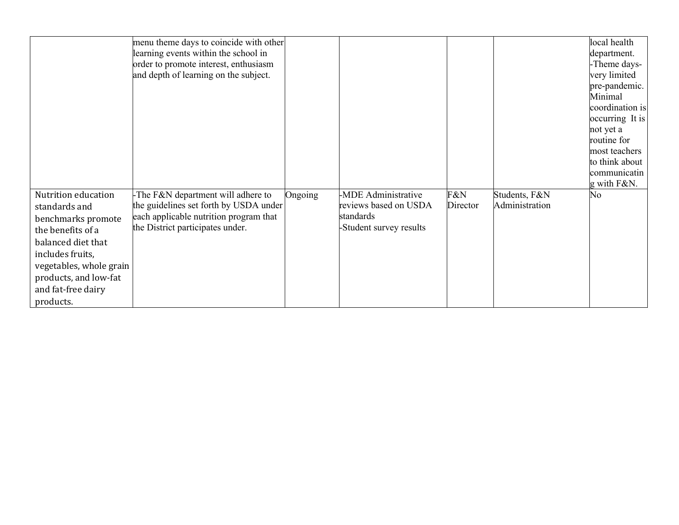|                                                                                                                                                                                                                  | menu theme days to coincide with other<br>learning events within the school in<br>order to promote interest, enthusiasm<br>and depth of learning on the subject. |         |                                                                                      |                 |                                 | local health<br>department.<br>-Theme days-<br>very limited<br>pre-pandemic.<br>Minimal<br>coordination is<br>occurring It is<br>not yet a<br>routine for<br>most teachers<br>to think about<br>communicatin<br>g with F&N. |
|------------------------------------------------------------------------------------------------------------------------------------------------------------------------------------------------------------------|------------------------------------------------------------------------------------------------------------------------------------------------------------------|---------|--------------------------------------------------------------------------------------|-----------------|---------------------------------|-----------------------------------------------------------------------------------------------------------------------------------------------------------------------------------------------------------------------------|
| Nutrition education<br>standards and<br>benchmarks promote<br>the benefits of a<br>balanced diet that<br>includes fruits,<br>vegetables, whole grain<br>products, and low-fat<br>and fat-free dairy<br>products. | -The F&N department will adhere to<br>the guidelines set forth by USDA under<br>each applicable nutrition program that<br>the District participates under.       | Ongoing | -MDE Administrative<br>reviews based on USDA<br>standards<br>-Student survey results | F&N<br>Director | Students, F&N<br>Administration | No                                                                                                                                                                                                                          |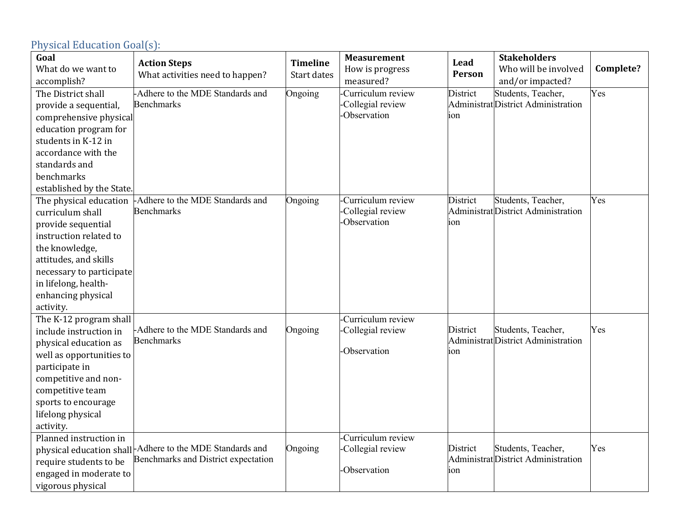| Goal<br>What do we want to | <b>Action Steps</b>                                                                             | <b>Timeline</b> | <b>Measurement</b><br>How is progress | Lead      | <b>Stakeholders</b><br>Who will be involved               | Complete? |
|----------------------------|-------------------------------------------------------------------------------------------------|-----------------|---------------------------------------|-----------|-----------------------------------------------------------|-----------|
| accomplish?                | What activities need to happen?                                                                 | Start dates     | measured?                             | Person    | and/or impacted?                                          |           |
| The District shall         | -Adhere to the MDE Standards and                                                                | Ongoing         | Curriculum review                     | District  | Students, Teacher,                                        | Yes       |
| provide a sequential,      | <b>Benchmarks</b>                                                                               |                 | Collegial review                      |           | Administrat District Administration                       |           |
| comprehensive physical     |                                                                                                 |                 | <b>Observation</b>                    | ion       |                                                           |           |
| education program for      |                                                                                                 |                 |                                       |           |                                                           |           |
| students in K-12 in        |                                                                                                 |                 |                                       |           |                                                           |           |
| accordance with the        |                                                                                                 |                 |                                       |           |                                                           |           |
| standards and              |                                                                                                 |                 |                                       |           |                                                           |           |
| benchmarks                 |                                                                                                 |                 |                                       |           |                                                           |           |
| established by the State.  |                                                                                                 |                 |                                       |           |                                                           |           |
| The physical education     | -Adhere to the MDE Standards and                                                                | Ongoing         | Curriculum review                     | District  | Students, Teacher,                                        | Yes       |
| curriculum shall           | <b>Benchmarks</b>                                                                               |                 | Collegial review                      |           | Administrat District Administration                       |           |
| provide sequential         |                                                                                                 |                 | <b>Observation</b>                    | ion       |                                                           |           |
| instruction related to     |                                                                                                 |                 |                                       |           |                                                           |           |
| the knowledge,             |                                                                                                 |                 |                                       |           |                                                           |           |
| attitudes, and skills      |                                                                                                 |                 |                                       |           |                                                           |           |
| necessary to participate   |                                                                                                 |                 |                                       |           |                                                           |           |
| in lifelong, health-       |                                                                                                 |                 |                                       |           |                                                           |           |
| enhancing physical         |                                                                                                 |                 |                                       |           |                                                           |           |
| activity.                  |                                                                                                 |                 |                                       |           |                                                           |           |
| The K-12 program shall     |                                                                                                 |                 | Curriculum review                     |           |                                                           |           |
| include instruction in     | -Adhere to the MDE Standards and                                                                | Ongoing         | Collegial review                      | District  | Students, Teacher,                                        | Yes       |
| physical education as      | <b>Benchmarks</b>                                                                               |                 | -Observation                          |           | AdministratDistrict Administration                        |           |
| well as opportunities to   |                                                                                                 |                 |                                       | <b>on</b> |                                                           |           |
| participate in             |                                                                                                 |                 |                                       |           |                                                           |           |
| competitive and non-       |                                                                                                 |                 |                                       |           |                                                           |           |
| competitive team           |                                                                                                 |                 |                                       |           |                                                           |           |
| sports to encourage        |                                                                                                 |                 |                                       |           |                                                           |           |
| lifelong physical          |                                                                                                 |                 |                                       |           |                                                           |           |
| activity.                  |                                                                                                 |                 |                                       |           |                                                           |           |
| Planned instruction in     |                                                                                                 |                 | Curriculum review                     |           |                                                           |           |
|                            | physical education shall-Adhere to the MDE Standards and<br>Benchmarks and District expectation | Ongoing         | Collegial review                      | District  | Students, Teacher,<br>Administrat District Administration | Yes       |
| require students to be     |                                                                                                 |                 | <b>Observation</b>                    | ion       |                                                           |           |
| engaged in moderate to     |                                                                                                 |                 |                                       |           |                                                           |           |
| vigorous physical          |                                                                                                 |                 |                                       |           |                                                           |           |

### Physical Education Goal(s):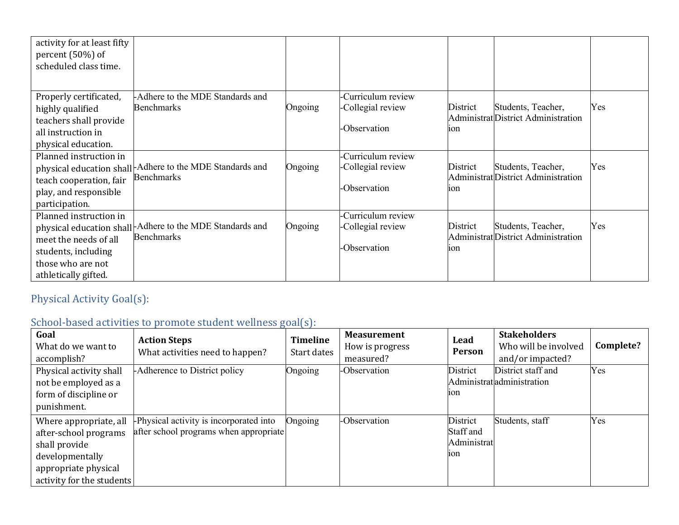| activity for at least fifty<br>percent (50%) of<br>scheduled class time. |                                                          |         |                    |                 |                                     |     |
|--------------------------------------------------------------------------|----------------------------------------------------------|---------|--------------------|-----------------|-------------------------------------|-----|
|                                                                          |                                                          |         |                    |                 |                                     |     |
| Properly certificated,                                                   | -Adhere to the MDE Standards and                         |         | -Curriculum review |                 |                                     |     |
| highly qualified                                                         | <b>Benchmarks</b>                                        | Ongoing | -Collegial review  | District        | Students, Teacher,                  | Yes |
| teachers shall provide                                                   |                                                          |         |                    |                 | Administrat District Administration |     |
| all instruction in                                                       |                                                          |         | -Observation       | 10n             |                                     |     |
| physical education.                                                      |                                                          |         |                    |                 |                                     |     |
| Planned instruction in                                                   |                                                          |         | -Curriculum review |                 |                                     |     |
|                                                                          | physical education shall-Adhere to the MDE Standards and | Ongoing | -Collegial review  | District        | Students, Teacher,                  | Yes |
| teach cooperation, fair                                                  | <b>Benchmarks</b>                                        |         |                    |                 | Administrat District Administration |     |
| play, and responsible                                                    |                                                          |         | -Observation       | 10 <sub>n</sub> |                                     |     |
| participation.                                                           |                                                          |         |                    |                 |                                     |     |
| Planned instruction in                                                   |                                                          |         | -Curriculum review |                 |                                     |     |
|                                                                          | physical education shall-Adhere to the MDE Standards and | Ongoing | -Collegial review  | District        | Students, Teacher,                  | Yes |
| meet the needs of all                                                    | <b>Benchmarks</b>                                        |         |                    |                 | Administrat District Administration |     |
| students, including                                                      |                                                          |         | -Observation       | 10n             |                                     |     |
| those who are not                                                        |                                                          |         |                    |                 |                                     |     |
| athletically gifted.                                                     |                                                          |         |                    |                 |                                     |     |

# Physical Activity Goal(s):

# School-based activities to promote student wellness goal(s):

| Goal<br>What do we want to<br>accomplish?                                                                                                | <b>Action Steps</b><br>What activities need to happen?                            | <b>Timeline</b><br>Start dates | <b>Measurement</b><br>How is progress<br>measured? | Lead<br>Person                              | <b>Stakeholders</b><br>Who will be involved<br>and/or impacted? | Complete? |
|------------------------------------------------------------------------------------------------------------------------------------------|-----------------------------------------------------------------------------------|--------------------------------|----------------------------------------------------|---------------------------------------------|-----------------------------------------------------------------|-----------|
| Physical activity shall<br>not be employed as a<br>form of discipline or<br>punishment.                                                  | -Adherence to District policy                                                     | Ongoing                        | -Observation                                       | District<br>10n                             | District staff and<br>Administratadministration                 | Yes       |
| Where appropriate, all<br>after-school programs<br>shall provide<br>developmentally<br>appropriate physical<br>activity for the students | -Physical activity is incorporated into<br>after school programs when appropriate | Ongoing                        | -Observation                                       | District<br>Staff and<br>Administrat<br>10n | Students, staff                                                 | Yes       |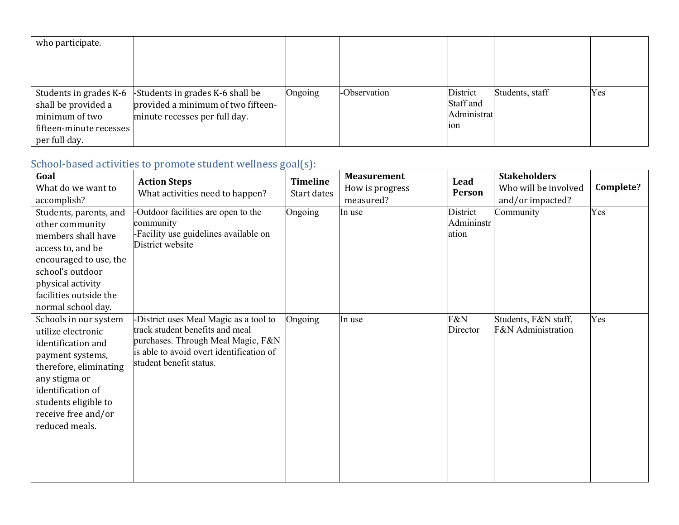| who participate.        |                                    |         |              |             |                 |     |
|-------------------------|------------------------------------|---------|--------------|-------------|-----------------|-----|
|                         |                                    |         |              |             |                 |     |
|                         |                                    |         |              |             |                 |     |
|                         |                                    |         |              |             |                 |     |
| Students in grades K-6  | -Students in grades K-6 shall be   | Ongoing | -Observation | District    | Students, staff | Yes |
| shall be provided a     | provided a minimum of two fifteen- |         |              | Staff and   |                 |     |
| minimum of two          | minute recesses per full day.      |         |              | Administrat |                 |     |
| fifteen-minute recesses |                                    |         |              | 10n         |                 |     |
| per full day.           |                                    |         |              |             |                 |     |

# School-based activities to promote student wellness goal(s):

| accomplish?                                                                                                                                                                                                            | What activities need to happen?                                                                                                                                                        | <b>Timeline</b><br>Start dates | How is progress<br>measured? | Lead<br>Person                  | <b>Stakeholders</b><br>Who will be involved<br>and/or impacted? | Complete? |
|------------------------------------------------------------------------------------------------------------------------------------------------------------------------------------------------------------------------|----------------------------------------------------------------------------------------------------------------------------------------------------------------------------------------|--------------------------------|------------------------------|---------------------------------|-----------------------------------------------------------------|-----------|
| Students, parents, and<br>other community<br>members shall have<br>access to, and be<br>encouraged to use, the<br>school's outdoor<br>physical activity<br>facilities outside the<br>normal school day.                | -Outdoor facilities are open to the<br>community<br>-Facility use guidelines available on<br>District website                                                                          | Ongoing                        | In use                       | District<br>Admininstr<br>ation | Community                                                       | Yes       |
| Schools in our system<br>utilize electronic<br>identification and<br>payment systems,<br>therefore, eliminating<br>any stigma or<br>identification of<br>students eligible to<br>receive free and/or<br>reduced meals. | -District uses Meal Magic as a tool to<br>track student benefits and meal<br>purchases. Through Meal Magic, F&N<br>is able to avoid overt identification of<br>student benefit status. | Ongoing                        | In use                       | F&N<br>Director                 | Students, F&N staff,<br><b>F&amp;N</b> Administration           | Yes       |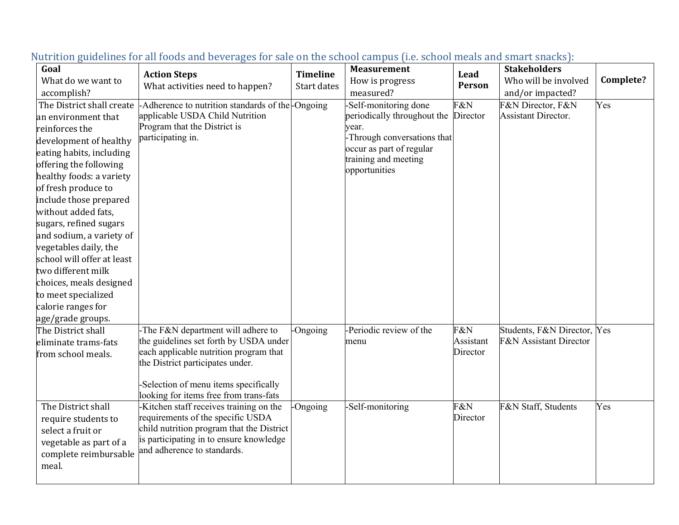| Goal                       |                                                   |                 | <b>Measurement</b>          |           | <b>Stakeholders</b>               |           |
|----------------------------|---------------------------------------------------|-----------------|-----------------------------|-----------|-----------------------------------|-----------|
| What do we want to         | <b>Action Steps</b>                               | <b>Timeline</b> | How is progress             | Lead      | Who will be involved              | Complete? |
| accomplish?                | What activities need to happen?                   | Start dates     | measured?                   | Person    | and/or impacted?                  |           |
| The District shall create  | -Adherence to nutrition standards of the -Ongoing |                 | -Self-monitoring done       | F&N       | F&N Director, F&N                 | Yes       |
| an environment that        | applicable USDA Child Nutrition                   |                 | periodically throughout the | Director  | <b>Assistant Director.</b>        |           |
| reinforces the             | Program that the District is                      |                 | year.                       |           |                                   |           |
| development of healthy     | participating in.                                 |                 | -Through conversations that |           |                                   |           |
|                            |                                                   |                 | occur as part of regular    |           |                                   |           |
| eating habits, including   |                                                   |                 | training and meeting        |           |                                   |           |
| offering the following     |                                                   |                 | opportunities               |           |                                   |           |
| healthy foods: a variety   |                                                   |                 |                             |           |                                   |           |
| of fresh produce to        |                                                   |                 |                             |           |                                   |           |
| include those prepared     |                                                   |                 |                             |           |                                   |           |
| without added fats,        |                                                   |                 |                             |           |                                   |           |
| sugars, refined sugars     |                                                   |                 |                             |           |                                   |           |
| and sodium, a variety of   |                                                   |                 |                             |           |                                   |           |
| vegetables daily, the      |                                                   |                 |                             |           |                                   |           |
| school will offer at least |                                                   |                 |                             |           |                                   |           |
| two different milk         |                                                   |                 |                             |           |                                   |           |
| choices, meals designed    |                                                   |                 |                             |           |                                   |           |
| to meet specialized        |                                                   |                 |                             |           |                                   |           |
| calorie ranges for         |                                                   |                 |                             |           |                                   |           |
| age/grade groups.          |                                                   |                 |                             |           |                                   |           |
| The District shall         | -The F&N department will adhere to                | -Ongoing        | -Periodic review of the     | F&N       | Students, F&N Director, Yes       |           |
| eliminate trams-fats       | the guidelines set forth by USDA under            |                 | menu                        | Assistant | <b>F&amp;N</b> Assistant Director |           |
| from school meals.         | each applicable nutrition program that            |                 |                             | Director  |                                   |           |
|                            | the District participates under.                  |                 |                             |           |                                   |           |
|                            |                                                   |                 |                             |           |                                   |           |
|                            | -Selection of menu items specifically             |                 |                             |           |                                   |           |
|                            | looking for items free from trans-fats            |                 |                             |           |                                   |           |
| The District shall         | -Kitchen staff receives training on the           | -Ongoing        | -Self-monitoring            | F&N       | F&N Staff, Students               | Yes       |
| require students to        | requirements of the specific USDA                 |                 |                             | Director  |                                   |           |
| select a fruit or          | child nutrition program that the District         |                 |                             |           |                                   |           |
| vegetable as part of a     | is participating in to ensure knowledge           |                 |                             |           |                                   |           |
| complete reimbursable      | and adherence to standards.                       |                 |                             |           |                                   |           |
| meal.                      |                                                   |                 |                             |           |                                   |           |
|                            |                                                   |                 |                             |           |                                   |           |

#### Nutrition guidelines for all foods and beverages for sale on the school campus (i.e. school meals and smart snacks):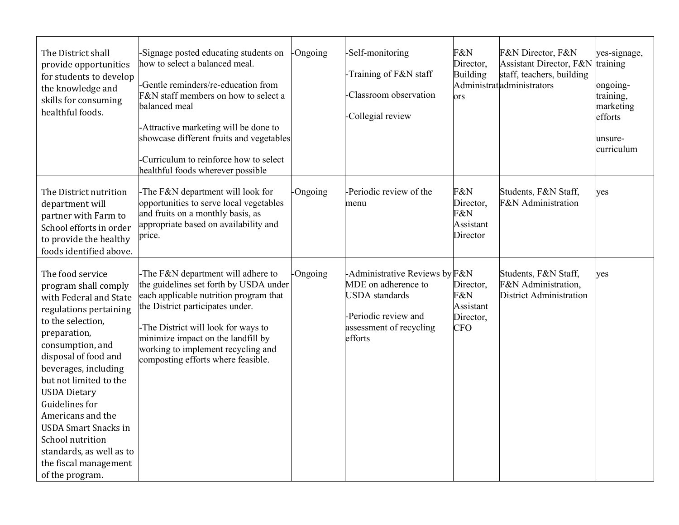| The District shall<br>provide opportunities<br>for students to develop<br>the knowledge and<br>skills for consuming<br>healthful foods.                                                                                                                                                                                                                                                                                  | Signage posted educating students on<br>how to select a balanced meal.<br>Gentle reminders/re-education from<br>F&N staff members on how to select a<br>balanced meal<br>Attractive marketing will be done to<br>showcase different fruits and vegetables<br>Curriculum to reinforce how to select<br>healthful foods wherever possible | -Ongoing | -Self-monitoring<br>-Training of F&N staff<br>Classroom observation<br>-Collegial review                                                     | F&N<br>Director,<br><b>Building</b><br><b>ors</b>        | F&N Director, F&N<br>Assistant Director, F&N<br>staff, teachers, building<br>Administratadministrators | yes-signage,<br>training<br>ongoing-<br>training,<br>marketing<br>efforts<br>unsure-<br>curriculum |
|--------------------------------------------------------------------------------------------------------------------------------------------------------------------------------------------------------------------------------------------------------------------------------------------------------------------------------------------------------------------------------------------------------------------------|-----------------------------------------------------------------------------------------------------------------------------------------------------------------------------------------------------------------------------------------------------------------------------------------------------------------------------------------|----------|----------------------------------------------------------------------------------------------------------------------------------------------|----------------------------------------------------------|--------------------------------------------------------------------------------------------------------|----------------------------------------------------------------------------------------------------|
| The District nutrition<br>department will<br>partner with Farm to<br>School efforts in order<br>to provide the healthy<br>foods identified above.                                                                                                                                                                                                                                                                        | -The F&N department will look for<br>opportunities to serve local vegetables<br>and fruits on a monthly basis, as<br>appropriate based on availability and<br>price.                                                                                                                                                                    | -Ongoing | -Periodic review of the<br>menu                                                                                                              | F&N<br>Director,<br>F&N<br>Assistant<br>Director         | Students, F&N Staff,<br>F&N Administration                                                             | yes                                                                                                |
| The food service<br>program shall comply<br>with Federal and State<br>regulations pertaining<br>to the selection.<br>preparation,<br>consumption, and<br>disposal of food and<br>beverages, including<br>but not limited to the<br><b>USDA Dietary</b><br>Guidelines for<br>Americans and the<br><b>USDA Smart Snacks in</b><br>School nutrition<br>standards, as well as to<br>the fiscal management<br>of the program. | -The F&N department will adhere to<br>the guidelines set forth by USDA under<br>each applicable nutrition program that<br>the District participates under.<br>The District will look for ways to<br>minimize impact on the landfill by<br>working to implement recycling and<br>composting efforts where feasible.                      | -Ongoing | -Administrative Reviews by F&N<br>MDE on adherence to<br><b>USDA</b> standards<br>-Periodic review and<br>assessment of recycling<br>efforts | Director,<br>F&N<br>Assistant<br>Director,<br><b>CFO</b> | Students, F&N Staff,<br>F&N Administration,<br><b>District Administration</b>                          | yes                                                                                                |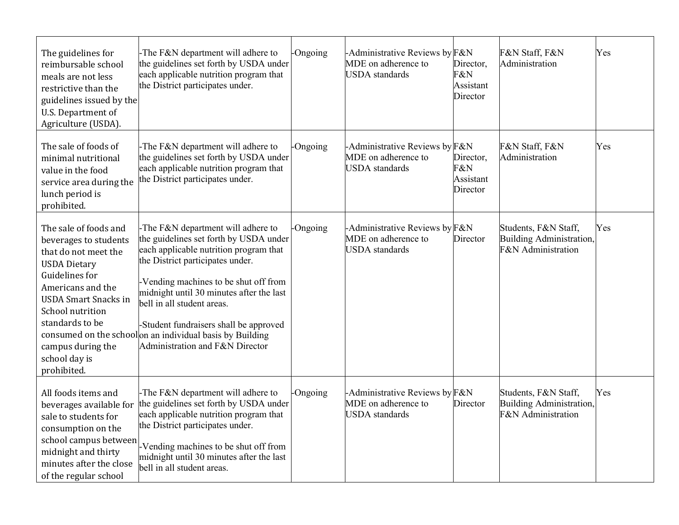| The guidelines for<br>reimbursable school<br>meals are not less<br>restrictive than the<br>guidelines issued by the<br>U.S. Department of<br>Agriculture (USDA).                                                                                                       | -The F&N department will adhere to<br>the guidelines set forth by USDA under<br>each applicable nutrition program that<br>the District participates under.                                                                                                                                                                                                                                                             | -Ongoing | -Administrative Reviews by<br>MDE on adherence to<br><b>USDA</b> standards     | F&N<br>Director,<br>F&N<br>Assistant<br>Director | F&N Staff, F&N<br>Administration                                              | Yes |
|------------------------------------------------------------------------------------------------------------------------------------------------------------------------------------------------------------------------------------------------------------------------|------------------------------------------------------------------------------------------------------------------------------------------------------------------------------------------------------------------------------------------------------------------------------------------------------------------------------------------------------------------------------------------------------------------------|----------|--------------------------------------------------------------------------------|--------------------------------------------------|-------------------------------------------------------------------------------|-----|
| The sale of foods of<br>minimal nutritional<br>value in the food<br>service area during the<br>lunch period is<br>prohibited.                                                                                                                                          | -The F&N department will adhere to<br>the guidelines set forth by USDA under<br>each applicable nutrition program that<br>the District participates under.                                                                                                                                                                                                                                                             | -Ongoing | -Administrative Reviews by F&N<br>MDE on adherence to<br><b>USDA</b> standards | Director,<br>F&N<br>Assistant<br>Director        | F&N Staff, F&N<br>Administration                                              | Yes |
| The sale of foods and<br>beverages to students<br>that do not meet the<br><b>USDA Dietary</b><br><b>Guidelines</b> for<br>Americans and the<br><b>USDA Smart Snacks in</b><br>School nutrition<br>standards to be<br>campus during the<br>school day is<br>prohibited. | -The F&N department will adhere to<br>the guidelines set forth by USDA under<br>each applicable nutrition program that<br>the District participates under.<br>-Vending machines to be shut off from<br>midnight until 30 minutes after the last<br>bell in all student areas.<br>-Student fundraisers shall be approved<br>consumed on the schoolon an individual basis by Building<br>Administration and F&N Director | -Ongoing | -Administrative Reviews by F&N<br>MDE on adherence to<br><b>USDA</b> standards | Director                                         | Students, F&N Staff,<br><b>Building Administration,</b><br>F&N Administration | Yes |
| All foods items and<br>beverages available for<br>sale to students for<br>consumption on the<br>school campus between<br>midnight and thirty<br>minutes after the close<br>of the regular school                                                                       | -The F&N department will adhere to<br>the guidelines set forth by USDA under<br>each applicable nutrition program that<br>the District participates under.<br>-Vending machines to be shut off from<br>midnight until 30 minutes after the last<br>bell in all student areas.                                                                                                                                          | -Ongoing | -Administrative Reviews by F&N<br>MDE on adherence to<br><b>USDA</b> standards | Director                                         | Students, F&N Staff,<br>Building Administration,<br>F&N Administration        | Yes |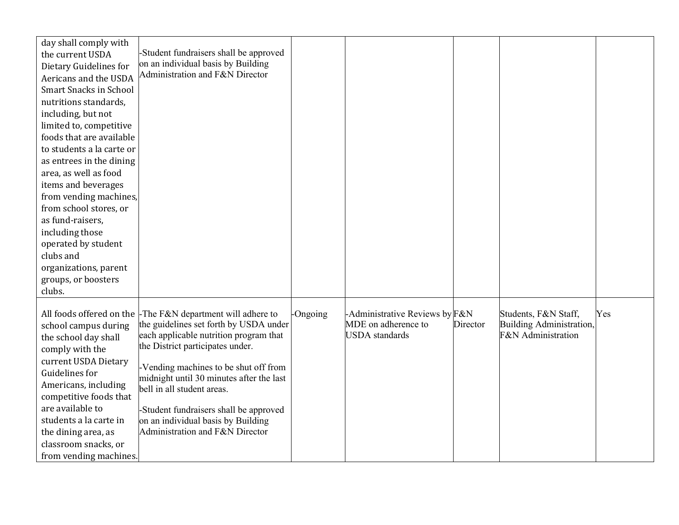| day shall comply with         |                                                                                  |          |                                              |          |                                                |     |
|-------------------------------|----------------------------------------------------------------------------------|----------|----------------------------------------------|----------|------------------------------------------------|-----|
| the current USDA              | -Student fundraisers shall be approved                                           |          |                                              |          |                                                |     |
| Dietary Guidelines for        | on an individual basis by Building                                               |          |                                              |          |                                                |     |
| Aericans and the USDA         | Administration and F&N Director                                                  |          |                                              |          |                                                |     |
| <b>Smart Snacks in School</b> |                                                                                  |          |                                              |          |                                                |     |
| nutritions standards,         |                                                                                  |          |                                              |          |                                                |     |
| including, but not            |                                                                                  |          |                                              |          |                                                |     |
| limited to, competitive       |                                                                                  |          |                                              |          |                                                |     |
| foods that are available      |                                                                                  |          |                                              |          |                                                |     |
| to students a la carte or     |                                                                                  |          |                                              |          |                                                |     |
| as entrees in the dining      |                                                                                  |          |                                              |          |                                                |     |
| area, as well as food         |                                                                                  |          |                                              |          |                                                |     |
| items and beverages           |                                                                                  |          |                                              |          |                                                |     |
| from vending machines,        |                                                                                  |          |                                              |          |                                                |     |
| from school stores, or        |                                                                                  |          |                                              |          |                                                |     |
| as fund-raisers,              |                                                                                  |          |                                              |          |                                                |     |
| including those               |                                                                                  |          |                                              |          |                                                |     |
| operated by student           |                                                                                  |          |                                              |          |                                                |     |
| clubs and                     |                                                                                  |          |                                              |          |                                                |     |
| organizations, parent         |                                                                                  |          |                                              |          |                                                |     |
| groups, or boosters           |                                                                                  |          |                                              |          |                                                |     |
| clubs.                        |                                                                                  |          |                                              |          |                                                |     |
|                               |                                                                                  |          |                                              |          |                                                |     |
|                               | All foods offered on the $\mathsf{\text{F}}$ The F&N department will adhere to   | -Ongoing | -Administrative Reviews by F&N               |          | Students, F&N Staff,                           | Yes |
| school campus during          | the guidelines set forth by USDA under<br>each applicable nutrition program that |          | MDE on adherence to<br><b>USDA</b> standards | Director | Building Administration,<br>F&N Administration |     |
| the school day shall          | the District participates under.                                                 |          |                                              |          |                                                |     |
| comply with the               |                                                                                  |          |                                              |          |                                                |     |
| current USDA Dietary          | Vending machines to be shut off from                                             |          |                                              |          |                                                |     |
| <b>Guidelines</b> for         | midnight until 30 minutes after the last                                         |          |                                              |          |                                                |     |
| Americans, including          | bell in all student areas.                                                       |          |                                              |          |                                                |     |
| competitive foods that        |                                                                                  |          |                                              |          |                                                |     |
| are available to              | -Student fundraisers shall be approved                                           |          |                                              |          |                                                |     |
| students a la carte in        | on an individual basis by Building                                               |          |                                              |          |                                                |     |
| the dining area, as           | Administration and F&N Director                                                  |          |                                              |          |                                                |     |
| classroom snacks, or          |                                                                                  |          |                                              |          |                                                |     |
| from vending machines.        |                                                                                  |          |                                              |          |                                                |     |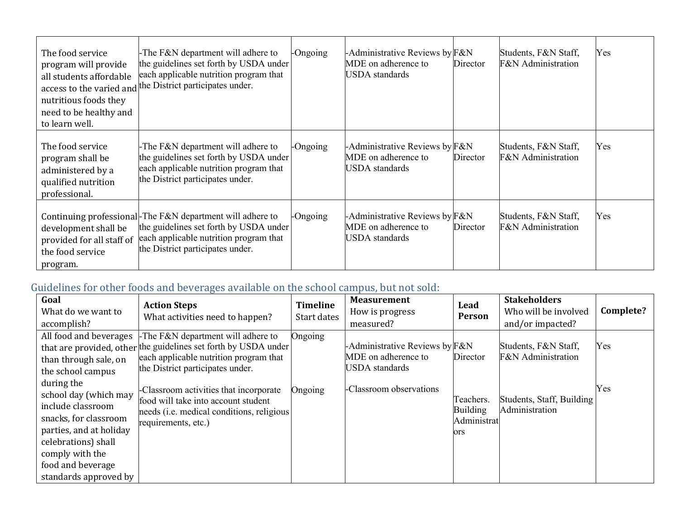| The food service<br>program will provide<br>all students affordable<br>access to the varied and<br>nutritious foods they<br>need to be healthy and<br>to learn well. | -The F&N department will adhere to<br>the guidelines set forth by USDA under<br>each applicable nutrition program that<br>the District participates under.                        | -Ongoing | -Administrative Reviews by $F\&N$<br>MDE on adherence to<br>USDA standards        | Director | Students, F&N Staff,<br><b>F&amp;N</b> Administration | Yes |
|----------------------------------------------------------------------------------------------------------------------------------------------------------------------|-----------------------------------------------------------------------------------------------------------------------------------------------------------------------------------|----------|-----------------------------------------------------------------------------------|----------|-------------------------------------------------------|-----|
| The food service<br>program shall be<br>administered by a<br>qualified nutrition<br>professional.                                                                    | -The F&N department will adhere to<br>the guidelines set forth by USDA under<br>each applicable nutrition program that<br>the District participates under.                        | -Ongoing | -Administrative Reviews by $F\&N$<br>MDE on adherence to<br>USDA standards        | Director | Students, F&N Staff,<br><b>F&amp;N</b> Administration | Yes |
| development shall be<br>provided for all staff of<br>the food service<br>program.                                                                                    | Continuing professional-The F&N department will adhere to<br>the guidelines set forth by USDA under<br>each applicable nutrition program that<br>the District participates under. | -Ongoing | -Administrative Reviews by $F\&N$<br>MDE on adherence to<br><b>USDA</b> standards | Director | Students, F&N Staff,<br><b>F&amp;N</b> Administration | Yes |

# Guidelines for other foods and beverages available on the school campus, but not sold:

| Goal<br>What do we want to<br>accomplish?                                                                                                                                              | <b>Action Steps</b><br>What activities need to happen?                                                                                                                             | Timeline<br>Start dates | <b>Measurement</b><br>How is progress<br>measured?                             | Lead<br>Person                                     | <b>Stakeholders</b><br>Who will be involved<br>and/or impacted? | Complete? |
|----------------------------------------------------------------------------------------------------------------------------------------------------------------------------------------|------------------------------------------------------------------------------------------------------------------------------------------------------------------------------------|-------------------------|--------------------------------------------------------------------------------|----------------------------------------------------|-----------------------------------------------------------------|-----------|
| All food and beverages<br>than through sale, on<br>the school campus<br>during the                                                                                                     | The F&N department will adhere to<br>that are provided, other the guidelines set forth by USDA under<br>each applicable nutrition program that<br>the District participates under. | Ongoing                 | -Administrative Reviews by F&N<br>MDE on adherence to<br><b>USDA</b> standards | Director                                           | Students, F&N Staff,<br>F&N Administration                      | Yes       |
| school day (which may<br>include classroom<br>snacks, for classroom<br>parties, and at holiday<br>celebrations) shall<br>comply with the<br>food and beverage<br>standards approved by | -Classroom activities that incorporate<br>food will take into account student<br>needs ( <i>i.e.</i> medical conditions, religious<br>requirements, etc.)                          | Ongoing                 | -Classroom observations                                                        | Teachers.<br><b>Building</b><br>Administrat<br>ors | Students, Staff, Building<br>Administration                     | Yes       |